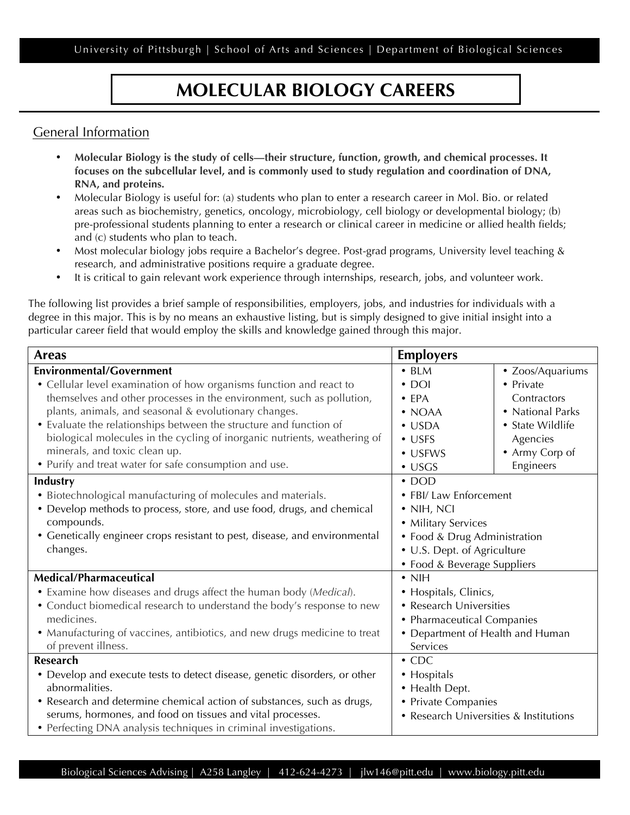University of Pittsburgh | School of Arts and Sciences | Department of Biological Sciences

## **MOLECULAR BIOLOGY CAREERS**

## General Information

- **Molecular Biology is the study of cells—their structure, function, growth, and chemical processes. It focuses on the subcellular level, and is commonly used to study regulation and coordination of DNA, RNA, and proteins.**
- Molecular Biology is useful for: (a) students who plan to enter a research career in Mol. Bio. or related areas such as biochemistry, genetics, oncology, microbiology, cell biology or developmental biology; (b) pre-professional students planning to enter a research or clinical career in medicine or allied health fields; and (c) students who plan to teach.
- Most molecular biology jobs require a Bachelor's degree. Post-grad programs, University level teaching & research, and administrative positions require a graduate degree.
- It is critical to gain relevant work experience through internships, research, jobs, and volunteer work.

The following list provides a brief sample of responsibilities, employers, jobs, and industries for individuals with a degree in this major. This is by no means an exhaustive listing, but is simply designed to give initial insight into a particular career field that would employ the skills and knowledge gained through this major.

| <b>Areas</b>                                                               | <b>Employers</b>                       |                  |
|----------------------------------------------------------------------------|----------------------------------------|------------------|
| <b>Environmental/Government</b>                                            | $\cdot$ BLM                            | • Zoos/Aquariums |
| • Cellular level examination of how organisms function and react to        | $\cdot$ DOI                            | • Private        |
| themselves and other processes in the environment, such as pollution,      | $\bullet$ EPA                          | Contractors      |
| plants, animals, and seasonal & evolutionary changes.                      | $\bullet$ NOAA                         | • National Parks |
| • Evaluate the relationships between the structure and function of         | $\bullet$ USDA                         | • State Wildlife |
| biological molecules in the cycling of inorganic nutrients, weathering of  | $\bullet$ USFS                         | Agencies         |
| minerals, and toxic clean up.                                              | • USFWS                                | • Army Corp of   |
| • Purify and treat water for safe consumption and use.                     | $\cdot$ USGS                           | Engineers        |
| <b>Industry</b>                                                            | $\cdot$ DOD                            |                  |
| • Biotechnological manufacturing of molecules and materials.               | • FBI/ Law Enforcement                 |                  |
| • Develop methods to process, store, and use food, drugs, and chemical     | $\bullet$ NIH, NCI                     |                  |
| compounds.                                                                 | • Military Services                    |                  |
| • Genetically engineer crops resistant to pest, disease, and environmental | • Food & Drug Administration           |                  |
| changes.                                                                   | • U.S. Dept. of Agriculture            |                  |
|                                                                            | • Food & Beverage Suppliers            |                  |
| Medical/Pharmaceutical                                                     | $\cdot$ NIH                            |                  |
| • Examine how diseases and drugs affect the human body (Medical).          | • Hospitals, Clinics,                  |                  |
| • Conduct biomedical research to understand the body's response to new     | • Research Universities                |                  |
| medicines.                                                                 | • Pharmaceutical Companies             |                  |
| • Manufacturing of vaccines, antibiotics, and new drugs medicine to treat  | • Department of Health and Human       |                  |
| of prevent illness.                                                        | Services                               |                  |
| <b>Research</b>                                                            | $\cdot$ CDC                            |                  |
| • Develop and execute tests to detect disease, genetic disorders, or other | • Hospitals                            |                  |
| abnormalities.                                                             | • Health Dept.                         |                  |
| • Research and determine chemical action of substances, such as drugs,     | • Private Companies                    |                  |
| serums, hormones, and food on tissues and vital processes.                 | • Research Universities & Institutions |                  |
| • Perfecting DNA analysis techniques in criminal investigations.           |                                        |                  |